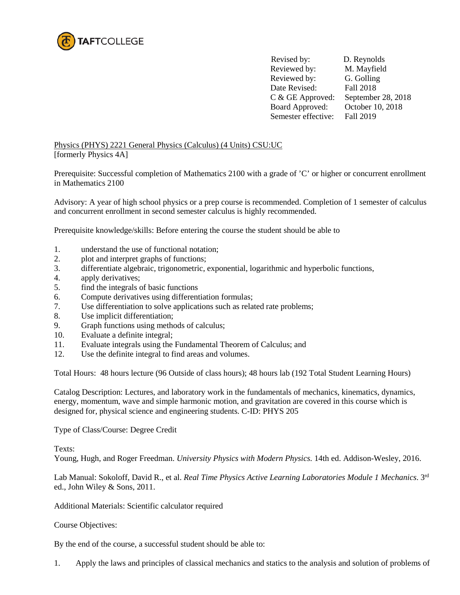

 Revised by: D. Reynolds Reviewed by: M. Mayfield Reviewed by: G. Golling Date Revised: Fall 2018 C & GE Approved: September 28, 2018 Board Approved: October 10, 2018<br>Semester effective: Fall 2019 Semester effective:

Physics (PHYS) 2221 General Physics (Calculus) (4 Units) CSU:UC [formerly Physics 4A]

Prerequisite: Successful completion of Mathematics 2100 with a grade of 'C' or higher or concurrent enrollment in Mathematics 2100

Advisory: A year of high school physics or a prep course is recommended. Completion of 1 semester of calculus and concurrent enrollment in second semester calculus is highly recommended.

Prerequisite knowledge/skills: Before entering the course the student should be able to

- 1. understand the use of functional notation;
- 2. plot and interpret graphs of functions;
- 3. differentiate algebraic, trigonometric, exponential, logarithmic and hyperbolic functions,
- 4. apply derivatives;
- 5. find the integrals of basic functions
- 6. Compute derivatives using differentiation formulas;
- 7. Use differentiation to solve applications such as related rate problems;
- 8. Use implicit differentiation;
- 9. Graph functions using methods of calculus;
- 10. Evaluate a definite integral;
- 11. Evaluate integrals using the Fundamental Theorem of Calculus; and
- 12. Use the definite integral to find areas and volumes.

Total Hours: 48 hours lecture (96 Outside of class hours); 48 hours lab (192 Total Student Learning Hours)

Catalog Description: Lectures, and laboratory work in the fundamentals of mechanics, kinematics, dynamics, energy, momentum, wave and simple harmonic motion, and gravitation are covered in this course which is designed for, physical science and engineering students. C-ID: PHYS 205

Type of Class/Course: Degree Credit

Texts:

Young, Hugh, and Roger Freedman. *University Physics with Modern Physics.* 14th ed. Addison-Wesley, 2016.

Lab Manual: Sokoloff, David R., et al. *Real Time Physics Active Learning Laboratories Module 1 Mechanics*. 3rd ed., John Wiley & Sons, 2011.

Additional Materials: Scientific calculator required

Course Objectives:

By the end of the course, a successful student should be able to:

1. Apply the laws and principles of classical mechanics and statics to the analysis and solution of problems of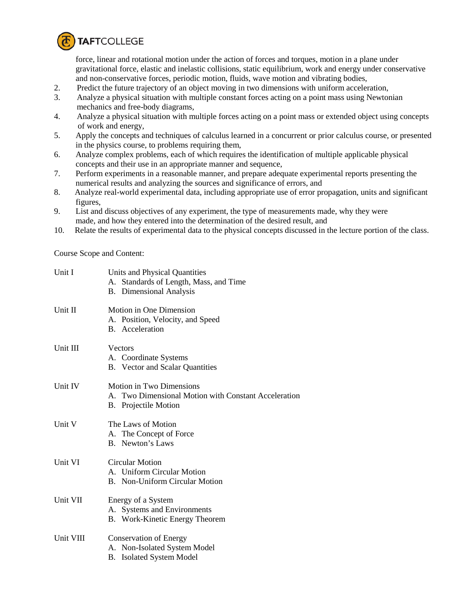

force, linear and rotational motion under the action of forces and torques, motion in a plane under gravitational force, elastic and inelastic collisions, static equilibrium, work and energy under conservative and non-conservative forces, periodic motion, fluids, wave motion and vibrating bodies,

- 2. Predict the future trajectory of an object moving in two dimensions with uniform acceleration,
- 3. Analyze a physical situation with multiple constant forces acting on a point mass using Newtonian mechanics and free-body diagrams,<br>4. Analyze a physical situation with m
- 4. Analyze a physical situation with multiple forces acting on a point mass or extended object using concepts of work and energy,
- 5. Apply the concepts and techniques of calculus learned in a concurrent or prior calculus course, or presented in the physics course, to problems requiring them,
- 6. Analyze complex problems, each of which requires the identification of multiple applicable physical concepts and their use in an appropriate manner and sequence,
- 7. Perform experiments in a reasonable manner, and prepare adequate experimental reports presenting the numerical results and analyzing the sources and significance of errors, and
- 8. Analyze real-world experimental data, including appropriate use of error propagation, units and significant figures,
- 9. List and discuss objectives of any experiment, the type of measurements made, why they were made, and how they entered into the determination of the desired result, and
- 10. Relate the results of experimental data to the physical concepts discussed in the lecture portion of the class.

Course Scope and Content:

| Unit I    | Units and Physical Quantities<br>A. Standards of Length, Mass, and Time<br><b>B.</b> Dimensional Analysis              |
|-----------|------------------------------------------------------------------------------------------------------------------------|
| Unit II   | Motion in One Dimension<br>A. Position, Velocity, and Speed<br>B. Acceleration                                         |
| Unit III  | Vectors<br>A. Coordinate Systems<br><b>B.</b> Vector and Scalar Quantities                                             |
| Unit IV   | <b>Motion in Two Dimensions</b><br>A. Two Dimensional Motion with Constant Acceleration<br><b>B.</b> Projectile Motion |
| Unit V    | The Laws of Motion<br>A. The Concept of Force<br><b>B.</b> Newton's Laws                                               |
| Unit VI   | <b>Circular Motion</b><br>A. Uniform Circular Motion<br>B. Non-Uniform Circular Motion                                 |
| Unit VII  | Energy of a System<br>A. Systems and Environments<br>B. Work-Kinetic Energy Theorem                                    |
| Unit VIII | <b>Conservation of Energy</b><br>A. Non-Isolated System Model<br>B. Isolated System Model                              |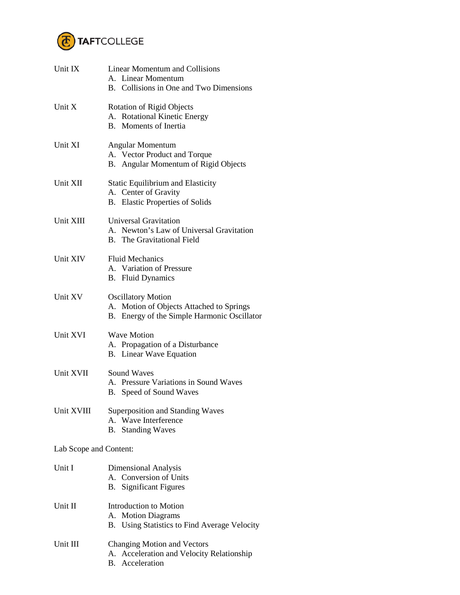

| Unit IX                | <b>Linear Momentum and Collisions</b><br>A. Linear Momentum<br>B. Collisions in One and Two Dimensions               |  |
|------------------------|----------------------------------------------------------------------------------------------------------------------|--|
| Unit X                 | <b>Rotation of Rigid Objects</b><br>A. Rotational Kinetic Energy<br>B. Moments of Inertia                            |  |
| Unit XI                | Angular Momentum<br>A. Vector Product and Torque<br>B. Angular Momentum of Rigid Objects                             |  |
| Unit XII               | Static Equilibrium and Elasticity<br>A. Center of Gravity<br>B. Elastic Properties of Solids                         |  |
| Unit XIII              | <b>Universal Gravitation</b><br>A. Newton's Law of Universal Gravitation<br><b>B.</b> The Gravitational Field        |  |
| Unit XIV               | <b>Fluid Mechanics</b><br>A. Variation of Pressure<br><b>B.</b> Fluid Dynamics                                       |  |
| Unit XV                | <b>Oscillatory Motion</b><br>A. Motion of Objects Attached to Springs<br>B. Energy of the Simple Harmonic Oscillator |  |
| Unit XVI               | <b>Wave Motion</b><br>A. Propagation of a Disturbance<br>B. Linear Wave Equation                                     |  |
| Unit XVII              | <b>Sound Waves</b><br>A. Pressure Variations in Sound Waves<br>B. Speed of Sound Waves                               |  |
| Unit XVIII             | Superposition and Standing Waves<br>A. Wave Interference<br><b>B.</b> Standing Waves                                 |  |
| Lab Scope and Content: |                                                                                                                      |  |
| Unit I                 | Dimensional Analysis<br>A. Conversion of Units<br><b>Significant Figures</b><br><b>B</b> .                           |  |
| Unit II                | Introduction to Motion<br>A. Motion Diagrams<br>B. Using Statistics to Find Average Velocity                         |  |
| Unit III               | <b>Changing Motion and Vectors</b><br>A. Acceleration and Velocity Relationship                                      |  |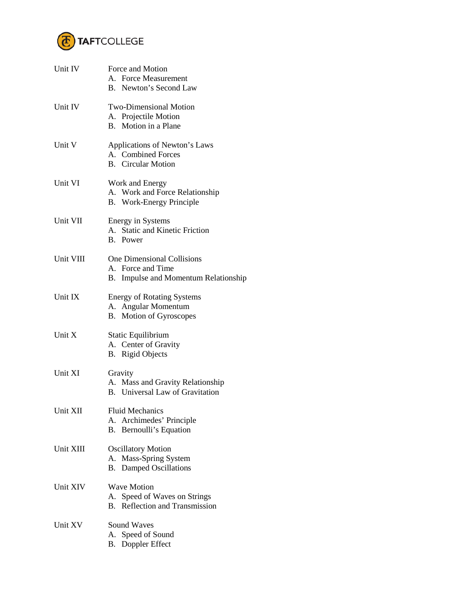

| Unit IV         | Force and Motion<br>A. Force Measurement<br>B. Newton's Second Law                             |
|-----------------|------------------------------------------------------------------------------------------------|
| Unit IV         | <b>Two-Dimensional Motion</b><br>A. Projectile Motion<br>B. Motion in a Plane                  |
| Unit V          | Applications of Newton's Laws<br>A. Combined Forces<br><b>B.</b> Circular Motion               |
| Unit VI         | Work and Energy<br>A. Work and Force Relationship<br>B. Work-Energy Principle                  |
| Unit VII        | <b>Energy in Systems</b><br>A. Static and Kinetic Friction<br>B. Power                         |
| Unit VIII       | <b>One Dimensional Collisions</b><br>A. Force and Time<br>B. Impulse and Momentum Relationship |
| Unit IX         | <b>Energy of Rotating Systems</b><br>A. Angular Momentum<br>B. Motion of Gyroscopes            |
| Unit X          | Static Equilibrium<br>A. Center of Gravity<br><b>B.</b> Rigid Objects                          |
| Unit XI         | Gravity<br>A. Mass and Gravity Relationship<br>B. Universal Law of Gravitation                 |
| Unit XII        | <b>Fluid Mechanics</b><br>Archimedes' Principle<br>А.<br>Bernoulli's Equation<br>В.            |
| Unit XIII       | <b>Oscillatory Motion</b><br>Mass-Spring System<br>А.<br><b>B.</b> Damped Oscillations         |
| <b>Unit XIV</b> | <b>Wave Motion</b><br>A. Speed of Waves on Strings<br>Reflection and Transmission<br><b>B.</b> |
| Unit XV         | <b>Sound Waves</b><br>A. Speed of Sound<br><b>B.</b> Doppler Effect                            |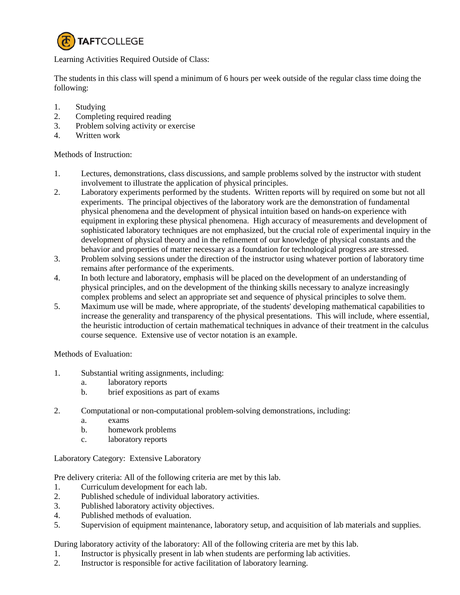

Learning Activities Required Outside of Class:

The students in this class will spend a minimum of 6 hours per week outside of the regular class time doing the following:

- 1. Studying<br>2. Completin
- 2. Completing required reading
- 3. Problem solving activity or exercise
- 4. Written work

## Methods of Instruction:

- 1. Lectures, demonstrations, class discussions, and sample problems solved by the instructor with student involvement to illustrate the application of physical principles.
- 2. Laboratory experiments performed by the students. Written reports will by required on some but not all experiments. The principal objectives of the laboratory work are the demonstration of fundamental physical phenomena and the development of physical intuition based on hands-on experience with equipment in exploring these physical phenomena. High accuracy of measurements and development of sophisticated laboratory techniques are not emphasized, but the crucial role of experimental inquiry in the development of physical theory and in the refinement of our knowledge of physical constants and the behavior and properties of matter necessary as a foundation for technological progress are stressed.
- 3. Problem solving sessions under the direction of the instructor using whatever portion of laboratory time remains after performance of the experiments.
- 4. In both lecture and laboratory, emphasis will be placed on the development of an understanding of physical principles, and on the development of the thinking skills necessary to analyze increasingly complex problems and select an appropriate set and sequence of physical principles to solve them.
- 5. Maximum use will be made, where appropriate, of the students' developing mathematical capabilities to increase the generality and transparency of the physical presentations. This will include, where essential, the heuristic introduction of certain mathematical techniques in advance of their treatment in the calculus course sequence. Extensive use of vector notation is an example.

## Methods of Evaluation:

- 1. Substantial writing assignments, including:
	- a. laboratory reports
	- b. brief expositions as part of exams
- 2. Computational or non-computational problem-solving demonstrations, including:
	- a. exams
	- b. homework problems
	- c. laboratory reports

Laboratory Category: Extensive Laboratory

Pre delivery criteria: All of the following criteria are met by this lab.

- 1. Curriculum development for each lab.
- 2. Published schedule of individual laboratory activities.
- 3. Published laboratory activity objectives.
- 4. Published methods of evaluation.
- 5. Supervision of equipment maintenance, laboratory setup, and acquisition of lab materials and supplies.

During laboratory activity of the laboratory: All of the following criteria are met by this lab.

- 1. Instructor is physically present in lab when students are performing lab activities.
- 2. Instructor is responsible for active facilitation of laboratory learning.